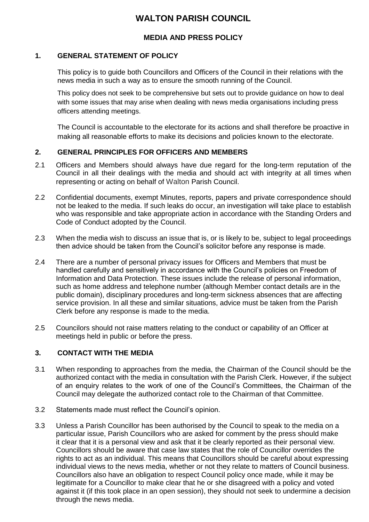# **WALTON PARISH COUNCIL**

# **MEDIA AND PRESS POLICY**

## **1. GENERAL STATEMENT OF POLICY**

This policy is to guide both Councillors and Officers of the Council in their relations with the news media in such a way as to ensure the smooth running of the Council.

This policy does not seek to be comprehensive but sets out to provide guidance on how to deal with some issues that may arise when dealing with news media organisations including press officers attending meetings.

The Council is accountable to the electorate for its actions and shall therefore be proactive in making all reasonable efforts to make its decisions and policies known to the electorate.

#### **2. GENERAL PRINCIPLES FOR OFFICERS AND MEMBERS**

- 2.1 Officers and Members should always have due regard for the long-term reputation of the Council in all their dealings with the media and should act with integrity at all times when representing or acting on behalf of Walton Parish Council.
- 2.2 Confidential documents, exempt Minutes, reports, papers and private correspondence should not be leaked to the media. If such leaks do occur, an investigation will take place to establish who was responsible and take appropriate action in accordance with the Standing Orders and Code of Conduct adopted by the Council.
- 2.3 When the media wish to discuss an issue that is, or is likely to be, subject to legal proceedings then advice should be taken from the Council's solicitor before any response is made.
- 2.4 There are a number of personal privacy issues for Officers and Members that must be handled carefully and sensitively in accordance with the Council's policies on Freedom of Information and Data Protection. These issues include the release of personal information, such as home address and telephone number (although Member contact details are in the public domain), disciplinary procedures and long-term sickness absences that are affecting service provision. In all these and similar situations, advice must be taken from the Parish Clerk before any response is made to the media.
- 2.5 Councilors should not raise matters relating to the conduct or capability of an Officer at meetings held in public or before the press.

#### **3. CONTACT WITH THE MEDIA**

- 3.1 When responding to approaches from the media, the Chairman of the Council should be the authorized contact with the media in consultation with the Parish Clerk. However, if the subject of an enquiry relates to the work of one of the Council's Committees, the Chairman of the Council may delegate the authorized contact role to the Chairman of that Committee.
- 3.2 Statements made must reflect the Council's opinion.
- 3.3 Unless a Parish Councillor has been authorised by the Council to speak to the media on a particular issue, Parish Councillors who are asked for comment by the press should make it clear that it is a personal view and ask that it be clearly reported as their personal view. Councillors should be aware that case law states that the role of Councillor overrides the rights to act as an individual. This means that Councillors should be careful about expressing individual views to the news media, whether or not they relate to matters of Council business. Councillors also have an obligation to respect Council policy once made, while it may be legitimate for a Councillor to make clear that he or she disagreed with a policy and voted against it (if this took place in an open session), they should not seek to undermine a decision through the news media.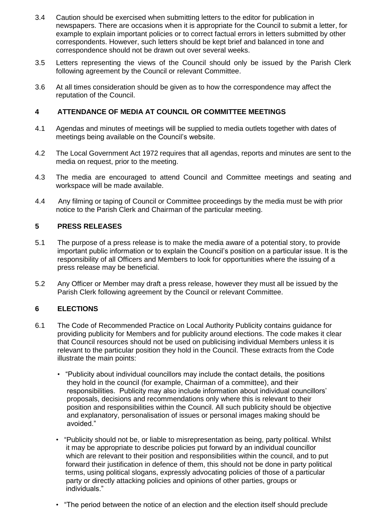- 3.4 Caution should be exercised when submitting letters to the editor for publication in newspapers. There are occasions when it is appropriate for the Council to submit a letter, for example to explain important policies or to correct factual errors in letters submitted by other correspondents. However, such letters should be kept brief and balanced in tone and correspondence should not be drawn out over several weeks.
- 3.5 Letters representing the views of the Council should only be issued by the Parish Clerk following agreement by the Council or relevant Committee.
- 3.6 At all times consideration should be given as to how the correspondence may affect the reputation of the Council.

#### **4 ATTENDANCE OF MEDIA AT COUNCIL OR COMMITTEE MEETINGS**

- 4.1 Agendas and minutes of meetings will be supplied to media outlets together with dates of meetings being available on the Council's website.
- 4.2 The Local Government Act 1972 requires that all agendas, reports and minutes are sent to the media on request, prior to the meeting.
- 4.3 The media are encouraged to attend Council and Committee meetings and seating and workspace will be made available.
- 4.4 Any filming or taping of Council or Committee proceedings by the media must be with prior notice to the Parish Clerk and Chairman of the particular meeting.

#### **5 PRESS RELEASES**

- 5.1 The purpose of a press release is to make the media aware of a potential story, to provide important public information or to explain the Council's position on a particular issue. It is the responsibility of all Officers and Members to look for opportunities where the issuing of a press release may be beneficial.
- 5.2 Any Officer or Member may draft a press release, however they must all be issued by the Parish Clerk following agreement by the Council or relevant Committee.

## **6 ELECTIONS**

- 6.1 The Code of Recommended Practice on Local Authority Publicity contains guidance for providing publicity for Members and for publicity around elections. The code makes it clear that Council resources should not be used on publicising individual Members unless it is relevant to the particular position they hold in the Council. These extracts from the Code illustrate the main points:
	- "Publicity about individual councillors may include the contact details, the positions they hold in the council (for example, Chairman of a committee), and their responsibilities. Publicity may also include information about individual councillors' proposals, decisions and recommendations only where this is relevant to their position and responsibilities within the Council. All such publicity should be objective and explanatory, personalisation of issues or personal images making should be avoided."
	- "Publicity should not be, or liable to misrepresentation as being, party political. Whilst it may be appropriate to describe policies put forward by an individual councillor which are relevant to their position and responsibilities within the council, and to put forward their justification in defence of them, this should not be done in party political terms, using political slogans, expressly advocating policies of those of a particular party or directly attacking policies and opinions of other parties, groups or individuals."
	- "The period between the notice of an election and the election itself should preclude